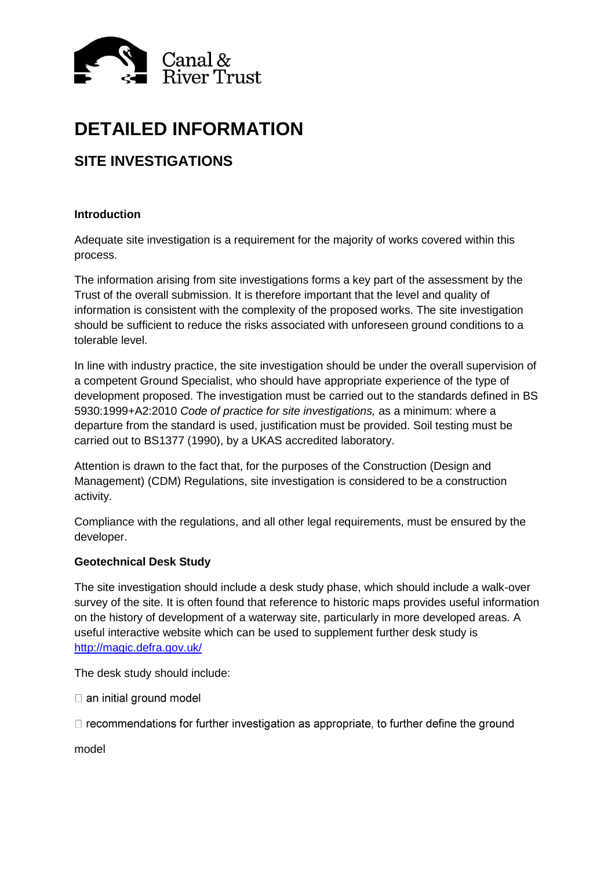

# **DETAILED INFORMATION**

# **SITE INVESTIGATIONS**

### **Introduction**

Adequate site investigation is a requirement for the majority of works covered within this process.

The information arising from site investigations forms a key part of the assessment by the Trust of the overall submission. It is therefore important that the level and quality of information is consistent with the complexity of the proposed works. The site investigation should be sufficient to reduce the risks associated with unforeseen ground conditions to a tolerable level.

In line with industry practice, the site investigation should be under the overall supervision of a competent Ground Specialist, who should have appropriate experience of the type of development proposed. The investigation must be carried out to the standards defined in BS 5930:1999+A2:2010 *Code of practice for site investigations,* as a minimum: where a departure from the standard is used, justification must be provided. Soil testing must be carried out to BS1377 (1990), by a UKAS accredited laboratory.

Attention is drawn to the fact that, for the purposes of the Construction (Design and Management) (CDM) Regulations, site investigation is considered to be a construction activity.

Compliance with the regulations, and all other legal requirements, must be ensured by the developer.

#### **Geotechnical Desk Study**

The site investigation should include a desk study phase, which should include a walk-over survey of the site. It is often found that reference to historic maps provides useful information on the history of development of a waterway site, particularly in more developed areas. A useful interactive website which can be used to supplement further desk study is <http://magic.defra.gov.uk/>

The desk study should include:

 $\Box$  an initial ground model

 $\Box$  recommendations for further investigation as appropriate, to further define the ground

model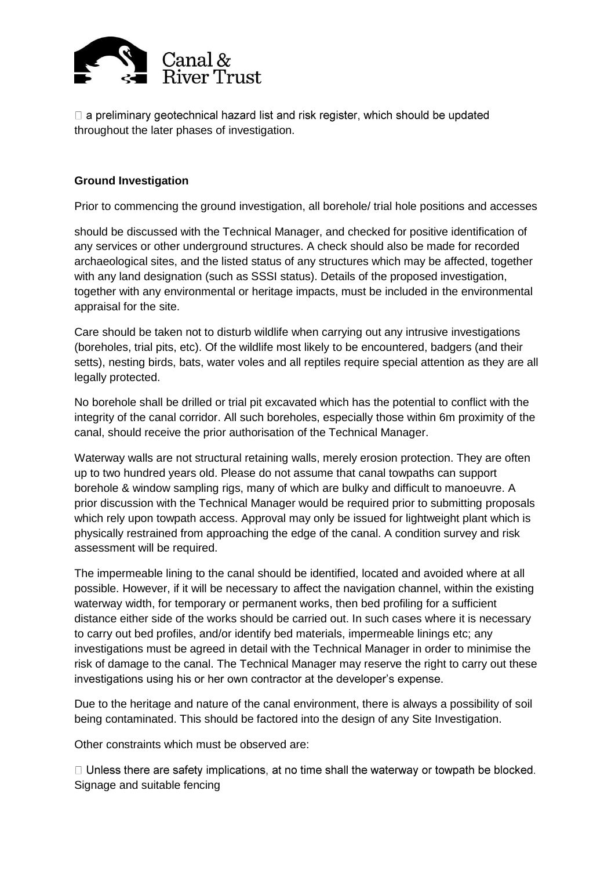

 $\Box$  a preliminary geotechnical hazard list and risk register, which should be updated throughout the later phases of investigation.

## **Ground Investigation**

Prior to commencing the ground investigation, all borehole/ trial hole positions and accesses

should be discussed with the Technical Manager, and checked for positive identification of any services or other underground structures. A check should also be made for recorded archaeological sites, and the listed status of any structures which may be affected, together with any land designation (such as SSSI status). Details of the proposed investigation, together with any environmental or heritage impacts, must be included in the environmental appraisal for the site.

Care should be taken not to disturb wildlife when carrying out any intrusive investigations (boreholes, trial pits, etc). Of the wildlife most likely to be encountered, badgers (and their setts), nesting birds, bats, water voles and all reptiles require special attention as they are all legally protected.

No borehole shall be drilled or trial pit excavated which has the potential to conflict with the integrity of the canal corridor. All such boreholes, especially those within 6m proximity of the canal, should receive the prior authorisation of the Technical Manager.

Waterway walls are not structural retaining walls, merely erosion protection. They are often up to two hundred years old. Please do not assume that canal towpaths can support borehole & window sampling rigs, many of which are bulky and difficult to manoeuvre. A prior discussion with the Technical Manager would be required prior to submitting proposals which rely upon towpath access. Approval may only be issued for lightweight plant which is physically restrained from approaching the edge of the canal. A condition survey and risk assessment will be required.

The impermeable lining to the canal should be identified, located and avoided where at all possible. However, if it will be necessary to affect the navigation channel, within the existing waterway width, for temporary or permanent works, then bed profiling for a sufficient distance either side of the works should be carried out. In such cases where it is necessary to carry out bed profiles, and/or identify bed materials, impermeable linings etc; any investigations must be agreed in detail with the Technical Manager in order to minimise the risk of damage to the canal. The Technical Manager may reserve the right to carry out these investigations using his or her own contractor at the developer's expense.

Due to the heritage and nature of the canal environment, there is always a possibility of soil being contaminated. This should be factored into the design of any Site Investigation.

Other constraints which must be observed are:

 $\Box$  Unless there are safety implications, at no time shall the waterway or towpath be blocked. Signage and suitable fencing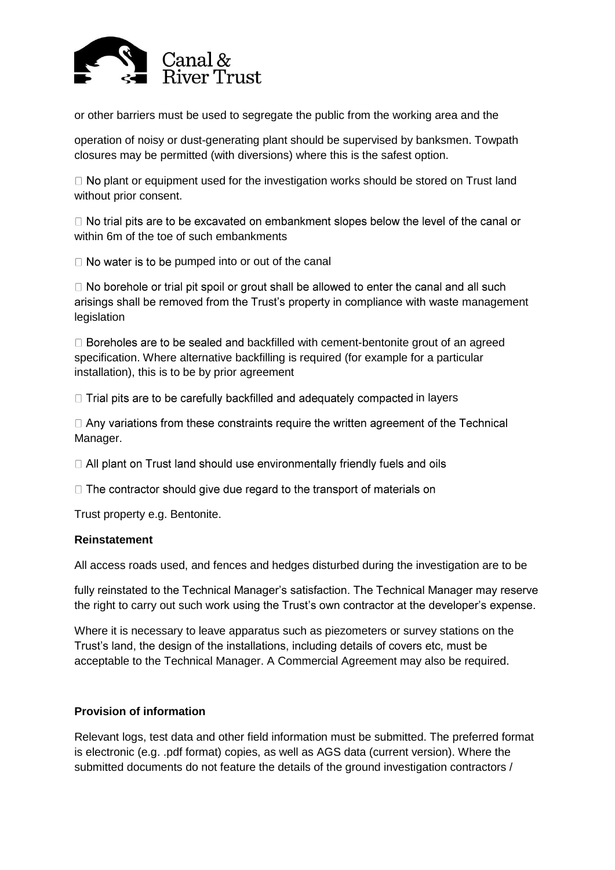

or other barriers must be used to segregate the public from the working area and the

operation of noisy or dust-generating plant should be supervised by banksmen. Towpath closures may be permitted (with diversions) where this is the safest option.

 $\Box$  No plant or equipment used for the investigation works should be stored on Trust land without prior consent.

□ No trial pits are to be excavated on embankment slopes below the level of the canal or within 6m of the toe of such embankments

 $\Box$  No water is to be pumped into or out of the canal

 $\Box$  No borehole or trial pit spoil or grout shall be allowed to enter the canal and all such arisings shall be removed from the Trust's property in compliance with waste management legislation

 $\Box$  Boreholes are to be sealed and backfilled with cement-bentonite grout of an agreed specification. Where alternative backfilling is required (for example for a particular installation), this is to be by prior agreement

 $\Box$  Trial pits are to be carefully backfilled and adequately compacted in layers

 $\Box$  Any variations from these constraints require the written agreement of the Technical Manager.

□ All plant on Trust land should use environmentally friendly fuels and oils

 $\Box$  The contractor should give due regard to the transport of materials on

Trust property e.g. Bentonite.

#### **Reinstatement**

All access roads used, and fences and hedges disturbed during the investigation are to be

fully reinstated to the Technical Manager's satisfaction. The Technical Manager may reserve the right to carry out such work using the Trust's own contractor at the developer's expense.

Where it is necessary to leave apparatus such as piezometers or survey stations on the Trust's land, the design of the installations, including details of covers etc, must be acceptable to the Technical Manager. A Commercial Agreement may also be required.

### **Provision of information**

Relevant logs, test data and other field information must be submitted. The preferred format is electronic (e.g. .pdf format) copies, as well as AGS data (current version). Where the submitted documents do not feature the details of the ground investigation contractors /